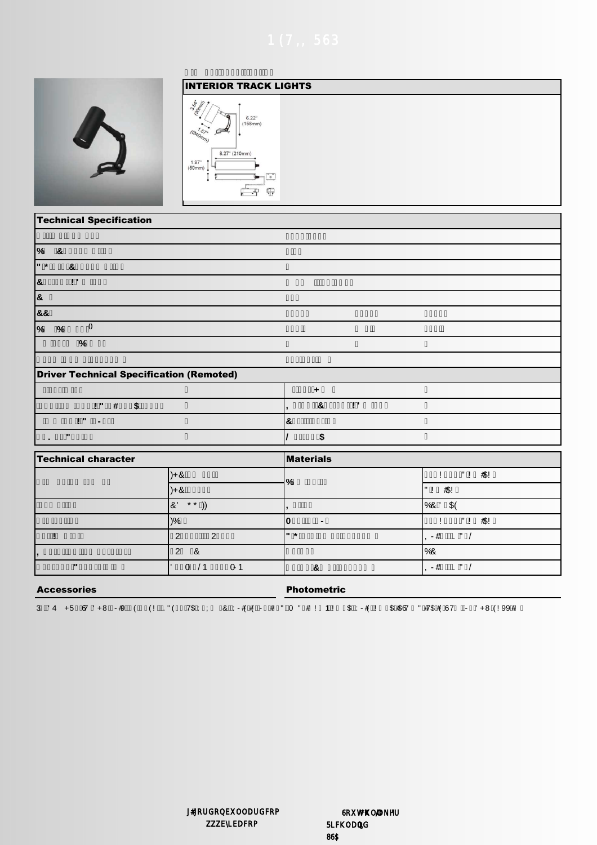



## **Technical Specification**

| $\frac{9}{6}$<br>&                              |                           |
|-------------------------------------------------|---------------------------|
| $\mathbf{H}$ *<br>&                             |                           |
| $\mathbf{a}$<br>$\mathbf{I}$                    |                           |
| 8                                               |                           |
| 88                                              |                           |
| $\theta$<br>$\frac{9}{6}$<br>%                  |                           |
| $\%$                                            |                           |
|                                                 |                           |
| <b>Driver Technical Specification (Remoted)</b> |                           |
|                                                 | ٠                         |
| $\mathbf{I}$<br>#<br>$\sqrt[6]{\frac{1}{2}}$    | &<br>$\blacksquare$<br>., |
| $\mathbf{I}$<br>$\blacksquare$                  | $\mathbf{g}$              |
| $\mathbf{H}$                                    | \$                        |
|                                                 |                           |

| Technical character |                     | <b>Materials</b> |                     |
|---------------------|---------------------|------------------|---------------------|
|                     | $)+8$               |                  | #\$!<br>$"$ !       |
|                     | $+8$                |                  | #\$!<br>H           |
|                     | $* * '$<br>8        |                  | $$^{\circ}$<br>%8   |
|                     | $\frac{1}{6}$       | $\blacksquare$   | "!<br>#\$!          |
|                     | ⌒<br>◠              | $\mathbf{H}$ *   | $\mathbf{H}$<br>- 1 |
|                     | 2<br>&              |                  | %8                  |
| $\mathbf{u}$        | $0 - 1$<br>$\prime$ |                  | ш                   |

## **Accessories**

**Photometric** 

3 '4 +5 67 '+8 -+9 (  $(1 \cdot )$ " ( 7\$ : ; & : +1 ( + = 0 " + 1 1 1 \$ : +1 ( + 5 \$ 567 " +7\$ + ( 6 7 - '+8 (199 +

0 / B / U 5**0** 0, 86\$

**ZER** 

œ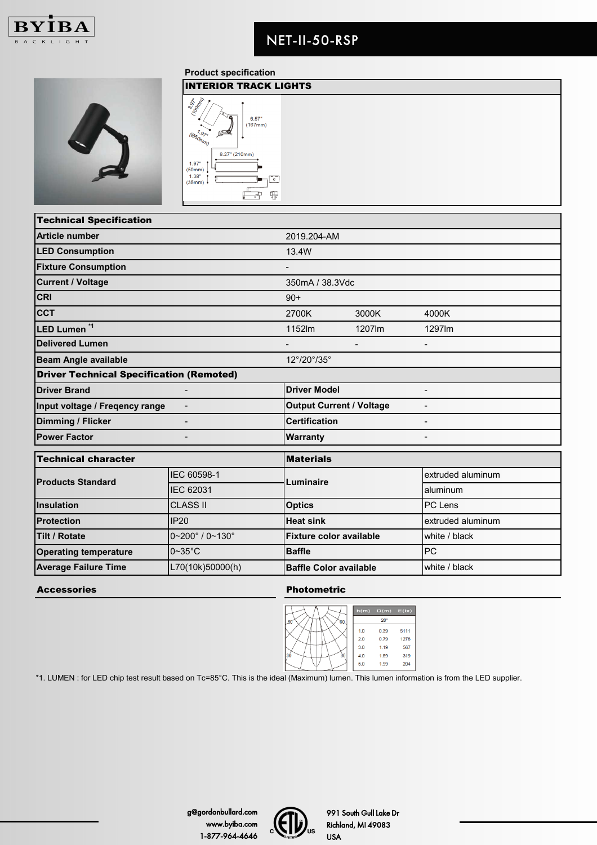



**Product specification**



| <b>Technical Specification</b>                                    |                                       |                                |        |                   |  |
|-------------------------------------------------------------------|---------------------------------------|--------------------------------|--------|-------------------|--|
| <b>Article number</b>                                             |                                       | 2019.204-AM                    |        |                   |  |
| <b>LED Consumption</b>                                            |                                       | 13.4W                          |        |                   |  |
| <b>Fixture Consumption</b>                                        |                                       |                                |        |                   |  |
| <b>Current / Voltage</b>                                          |                                       | 350mA / 38.3Vdc                |        |                   |  |
| <b>CRI</b>                                                        |                                       | $90+$                          |        |                   |  |
| <b>CCT</b>                                                        |                                       | 2700K                          | 3000K  | 4000K             |  |
| LED Lumen <sup>*1</sup>                                           |                                       | 1152lm                         | 1207lm | 1297lm            |  |
| <b>Delivered Lumen</b>                                            |                                       |                                |        |                   |  |
| <b>Beam Angle available</b>                                       |                                       | 12°/20°/35°                    |        |                   |  |
| <b>Driver Technical Specification (Remoted)</b>                   |                                       |                                |        |                   |  |
| <b>Driver Brand</b>                                               |                                       | <b>Driver Model</b>            |        | $\sim$            |  |
| <b>Output Current / Voltage</b><br>Input voltage / Freqency range |                                       |                                |        |                   |  |
| <b>Dimming / Flicker</b>                                          |                                       | <b>Certification</b>           |        |                   |  |
| <b>Power Factor</b>                                               |                                       | Warranty                       |        |                   |  |
| <b>Technical character</b>                                        |                                       | <b>Materials</b>               |        |                   |  |
|                                                                   |                                       |                                |        |                   |  |
| <b>Products Standard</b>                                          | IEC 60598-1                           | Luminaire                      |        | extruded aluminum |  |
|                                                                   | <b>IEC 62031</b>                      |                                |        | aluminum          |  |
| Insulation                                                        | <b>CLASS II</b>                       | <b>Optics</b>                  |        | PC Lens           |  |
| <b>Protection</b>                                                 | <b>IP20</b>                           | <b>Heat sink</b>               |        | extruded aluminum |  |
| <b>Tilt / Rotate</b>                                              | $0 - 200^{\circ}$ / $0 - 130^{\circ}$ | <b>Fixture color available</b> |        | white / black     |  |
| <b>Operating temperature</b>                                      | $0 \sim 35$ °C                        | <b>Baffle</b>                  |        | <b>PC</b>         |  |
| <b>Average Failure Time</b>                                       | L70(10k)50000(h)                      | <b>Baffle Color available</b>  |        | white / black     |  |

Accessories **Photometric** 

|            | h(m) | D(m)         | E(Ix) |
|------------|------|--------------|-------|
| .60<br>60. |      | $20^{\circ}$ |       |
|            | 1.0  | 0.39         | 5111  |
|            | 2.0  | 0.79         | 1278  |
|            | 3.0  | 1.19         | 567   |
| 30<br>30   | 4.0  | 1.59         | 319   |
|            | 5.0  | 1.99         | 204   |

\*1. LUMEN : for LED chip test result based on Tc=85°C. This is the ideal (Maximum) lumen. This lumen information is from the LED supplier.



991 South Gull Lake Dr Richland, MI 49083 USA

US